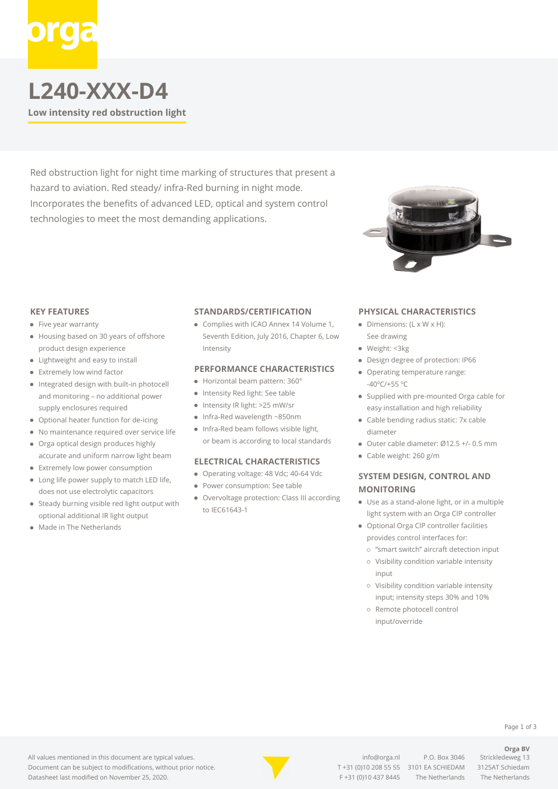# **L240-XXX-D4**

**Low intensity red obstruction light**

Red obstruction light for night time marking of structures that present a hazard to aviation. Red steady/ infra-Red burning in night mode. Incorporates the benefits of advanced LED, optical and system control technologies to meet the most demanding applications.



#### **KEY FEATURES**

- Five year warranty
- Housing based on 30 years of offshore product design experience
- Lightweight and easy to install
- Extremely low wind factor
- Integrated design with built-in photocell and monitoring – no additional power supply enclosures required
- Optional heater function for de-icing
- $\bullet$ No maintenance required over service life
- $\bullet$ Orga optical design produces highly accurate and uniform narrow light beam
- Extremely low power consumption
- Long life power supply to match LED life, does not use electrolytic capacitors
- Steady burning visible red light output with optional additional IR light output
- Made in The Netherlands

#### **STANDARDS/CERTIFICATION**

Complies with ICAO Annex 14 Volume 1, Seventh Edition, July 2016, Chapter 6, Low Intensity

#### **PERFORMANCE CHARACTERISTICS**

- Horizontal beam pattern: 360°
- Intensity Red light: See table
- Intensity IR light: >25 mW/sr
- $\bullet$  Infra-Red wavelength ~850nm
- Infra-Red beam follows visible light, or beam is according to local standards

#### **ELECTRICAL CHARACTERISTICS**

- Operating voltage: 48 Vdc; 40-64 Vdc
- Power consumption: See table
- Overvoltage protection: Class III according to IEC61643-1

#### **PHYSICAL CHARACTERISTICS**

- $\bullet$  Dimensions: (L x W x H): See drawing
- Weight: <3kg
- Design degree of protection: IP66
- Operating temperature range: -40ºC/+55 ºC
- Supplied with pre-mounted Orga cable for easy installation and high reliability
- Cable bending radius static: 7x cable diameter
- Outer cable diameter: Ø12.5 +/- 0.5 mm
- Cable weight: 260 g/m

### **SYSTEM DESIGN, CONTROL AND MONITORING**

- Use as a stand-alone light, or in a multiple light system with an Orga CIP controller
- Optional Orga CIP controller facilities provides control interfaces for:
	- "smart switch" aircraft detection input
	- Visibility condition variable intensity input
	- Visibility condition variable intensity input; intensity steps 30% and 10%
	- o Remote photocell control input/override

All values mentioned in this document are typical values. Document can be subject to modifications, without prior notice. Datasheet last modified on November 25, 2020.



[info@orga.nl](mailto:info@orga.nl) P.O. Box 3046 Strickledeweg 13 T [+31 \(0\)10 208 55 55](#page--1-0) 3101 EA SCHIEDAM 3125AT Schiedam F +31 (0)10 437 8445 The Netherlands The Netherlands

**Orga BV**

Page 1 of 3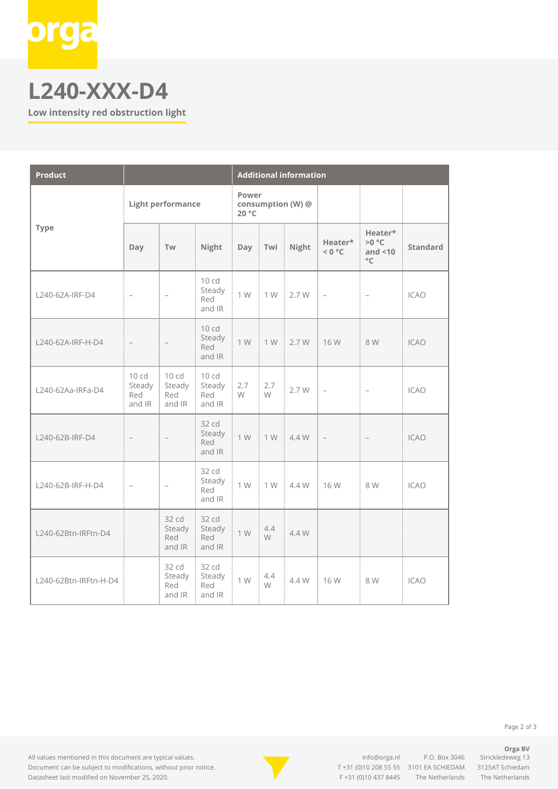

## **L240-XXX-D4**

**Low intensity red obstruction light**

| <b>Product</b>        |                                             |                                  |                                              | <b>Additional information</b>       |          |                                 |                   |                                                  |                 |
|-----------------------|---------------------------------------------|----------------------------------|----------------------------------------------|-------------------------------------|----------|---------------------------------|-------------------|--------------------------------------------------|-----------------|
| <b>Type</b>           | <b>Light performance</b>                    |                                  |                                              | Power<br>consumption (W) @<br>20 °C |          |                                 |                   |                                                  |                 |
|                       | Day                                         | Tw                               | Night                                        |                                     |          | Day Twi Night                   | Heater*<br>< 0 °C | Heater*<br>$>0$ °C<br>and $<$ 10<br>$^{\circ}$ C | <b>Standard</b> |
| L240-62A-IRF-D4       |                                             |                                  | 10 cd<br>Steady<br>Red<br>and IR             | 1 W                                 |          | $1 W = 2.7 W = -$               |                   | $\overline{\phantom{0}}$                         | <b>ICAO</b>     |
| L240-62A-IRF-H-D4     |                                             |                                  | 10 <sub>cd</sub><br>Steady<br>Red<br>and IR  |                                     |          | 1 W   1 W   2.7 W   16 W        |                   | 8W                                               | <b>ICAO</b>     |
| L240-62Aa-IRFa-D4     | 10 <sub>cd</sub><br>Steady<br>Red<br>and IR | 10 cd<br>Steady<br>Red<br>and IR | 10 cd<br>Steady<br>Red<br>and IR             | 2.7<br>i W                          | 2.7<br>W | $2.7 W$ -                       |                   | $\overline{\phantom{a}}$                         | <b>ICAO</b>     |
| L240-62B-IRF-D4       |                                             |                                  | 32 cd<br>Steady<br>Red<br>and IR             | 1 W                                 |          | $1 \text{W}$ $4.4 \text{W}$ $-$ |                   |                                                  | <b>ICAO</b>     |
| L240-62B-IRF-H-D4     |                                             |                                  | $32 \text{ cd}$<br>Steady i<br>Red<br>and IR |                                     |          | 1 W   1 W   4.4 W   16 W        |                   | 8W                                               | <b>ICAO</b>     |
| L240-62Btn-IRFtn-D4   |                                             | 32 cd<br>Steady<br>Red<br>and IR | 32 cd<br>Steady<br>Red<br>and IR             | 1 W                                 | 4.4<br>W | 4.4 W                           |                   |                                                  |                 |
| L240-62Btn-IRFtn-H-D4 |                                             | 32 cd<br>Steady<br>Red<br>and IR | 32 cd<br>Steady<br>Red<br>and IR             | 1 W                                 | 4.4<br>W | $4.4 W$   16 W                  |                   | 8 W                                              | <b>ICAO</b>     |

All values mentioned in this document are typical values. Document can be subject to modifications, without prior notice. Datasheet last modified on November 25, 2020.



[info@orga.nl](mailto:info@orga.nl) P.O. Box 3046 Strickledeweg 13 T [+31 \(0\)10 208 55 55](#page--1-0) 3101 EA SCHIEDAM 3125AT Schiedam F +31 (0)10 437 8445 The Netherlands The Netherlands

**Orga BV**

Page 2 of 3